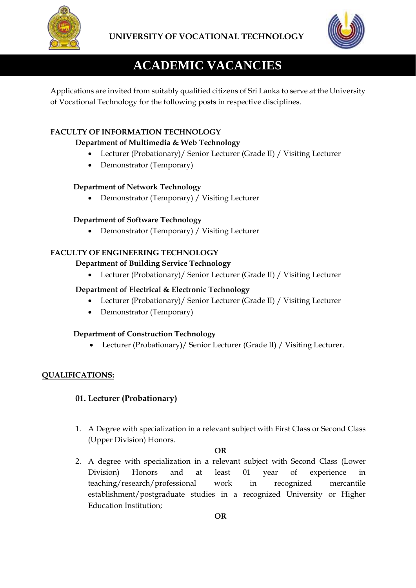



# **ACADEMIC VACANCIES**

Applications are invited from suitably qualified citizens of Sri Lanka to serve at the University of Vocational Technology for the following posts in respective disciplines.

# **FACULTY OF INFORMATION TECHNOLOGY**

# **Department of Multimedia & Web Technology**

- Lecturer (Probationary)/ Senior Lecturer (Grade II) / Visiting Lecturer
- Demonstrator (Temporary)

# **Department of Network Technology**

• Demonstrator (Temporary) / Visiting Lecturer

# **Department of Software Technology**

• Demonstrator (Temporary) / Visiting Lecturer

# **FACULTY OF ENGINEERING TECHNOLOGY**

# **Department of Building Service Technology**

• Lecturer (Probationary)/ Senior Lecturer (Grade II) / Visiting Lecturer

# **Department of Electrical & Electronic Technology**

- Lecturer (Probationary)/ Senior Lecturer (Grade II) / Visiting Lecturer
- Demonstrator (Temporary)

# **Department of Construction Technology**

• Lecturer (Probationary)/ Senior Lecturer (Grade II) / Visiting Lecturer.

# **QUALIFICATIONS:**

# **01. Lecturer (Probationary)**

1. A Degree with specialization in a relevant subject with First Class or Second Class (Upper Division) Honors.

### **OR**

2. A degree with specialization in a relevant subject with Second Class (Lower Division) Honors and at least 01 year of experience in teaching/research/professional work in recognized mercantile establishment/postgraduate studies in a recognized University or Higher Education Institution;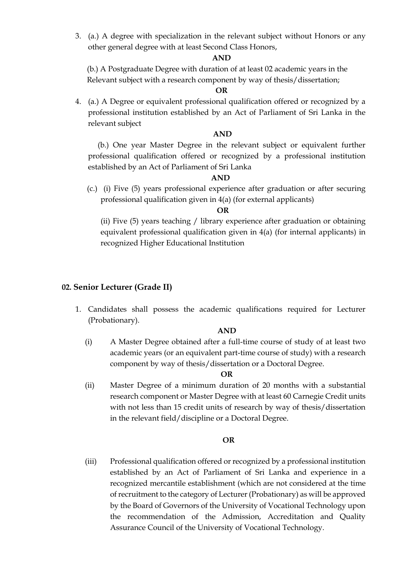3. (a.) A degree with specialization in the relevant subject without Honors or any other general degree with at least Second Class Honors,

#### **AND**

 (b.) A Postgraduate Degree with duration of at least 02 academic years in the Relevant subject with a research component by way of thesis/dissertation;

#### **OR**

4. (a.) A Degree or equivalent professional qualification offered or recognized by a professional institution established by an Act of Parliament of Sri Lanka in the relevant subject

#### **AND**

 (b.) One year Master Degree in the relevant subject or equivalent further professional qualification offered or recognized by a professional institution established by an Act of Parliament of Sri Lanka

#### **AND**

 (c.) (i) Five (5) years professional experience after graduation or after securing professional qualification given in 4(a) (for external applicants)

#### **OR**

(ii) Five (5) years teaching / library experience after graduation or obtaining equivalent professional qualification given in 4(a) (for internal applicants) in recognized Higher Educational Institution

#### **02. Senior Lecturer (Grade II)**

1. Candidates shall possess the academic qualifications required for Lecturer (Probationary).

#### **AND**

(i) A Master Degree obtained after a full-time course of study of at least two academic years (or an equivalent part-time course of study) with a research component by way of thesis/dissertation or a Doctoral Degree.

#### *OR*

(ii) Master Degree of a minimum duration of 20 months with a substantial research component or Master Degree with at least 60 Carnegie Credit units with not less than 15 credit units of research by way of thesis/dissertation in the relevant field/discipline or a Doctoral Degree.

#### *OR*

(iii) Professional qualification offered or recognized by a professional institution established by an Act of Parliament of Sri Lanka and experience in a recognized mercantile establishment (which are not considered at the time ofrecruitment to the category of Lecturer (Probationary) as will be approved by the Board of Governors of the University of Vocational Technology upon the recommendation of the Admission, Accreditation and Quality Assurance Council of the University of Vocational Technology.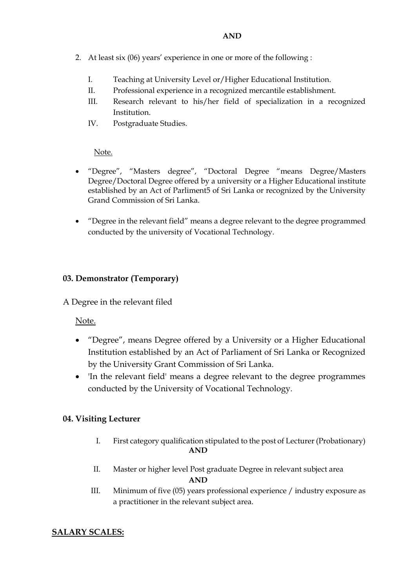- 2. At least six (06) years' experience in one or more of the following :
	- I. Teaching at University Level or/Higher Educational Institution.
	- II. Professional experience in a recognized mercantile establishment.
	- III. Research relevant to his/her field of specialization in a recognized Institution.
	- IV. Postgraduate Studies.

Note.

- "Degree", "Masters degree", "Doctoral Degree "means Degree/Masters Degree/Doctoral Degree offered by a university or a Higher Educational institute established by an Act of Parliment5 of Sri Lanka or recognized by the University Grand Commission of Sri Lanka.
- "Degree in the relevant field" means a degree relevant to the degree programmed conducted by the university of Vocational Technology.

# **03. Demonstrator (Temporary)**

A Degree in the relevant filed

Note.

- "Degree", means Degree offered by a University or a Higher Educational Institution established by an Act of Parliament of Sri Lanka or Recognized by the University Grant Commission of Sri Lanka.
- 'In the relevant field' means a degree relevant to the degree programmes conducted by the University of Vocational Technology.

# **04. Visiting Lecturer**

- I. First category qualification stipulated to the post of Lecturer (Probationary) **AND**
- II. Master or higher level Post graduate Degree in relevant subject area

**AND**

III. Minimum of five (05) years professional experience / industry exposure as a practitioner in the relevant subject area.

# **SALARY SCALES:**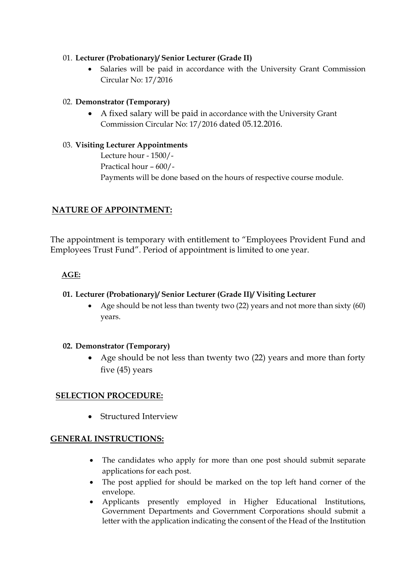### 01. **Lecturer (Probationary)/ Senior Lecturer (Grade II)**

Salaries will be paid in accordance with the University Grant Commission Circular No: 17/2016

# 02. **Demonstrator (Temporary)**

• A fixed salary will be paid in accordance with the University Grant Commission Circular No: 17/2016 dated 05.12.2016.

### 03. **Visiting Lecturer Appointments**

 Lecture hour - 1500/- Practical hour – 600/- Payments will be done based on the hours of respective course module.

# **NATURE OF APPOINTMENT:**

The appointment is temporary with entitlement to "Employees Provident Fund and Employees Trust Fund". Period of appointment is limited to one year.

# **AGE:**

# **01. Lecturer (Probationary)/ Senior Lecturer (Grade II)/ Visiting Lecturer**

• Age should be not less than twenty two (22) years and not more than sixty (60) years.

# **02. Demonstrator (Temporary)**

• Age should be not less than twenty two (22) years and more than forty five (45) years

# **SELECTION PROCEDURE:**

• Structured Interview

# **GENERAL INSTRUCTIONS:**

- The candidates who apply for more than one post should submit separate applications for each post.
- The post applied for should be marked on the top left hand corner of the envelope.
- Applicants presently employed in Higher Educational Institutions, Government Departments and Government Corporations should submit a letter with the application indicating the consent of the Head of the Institution